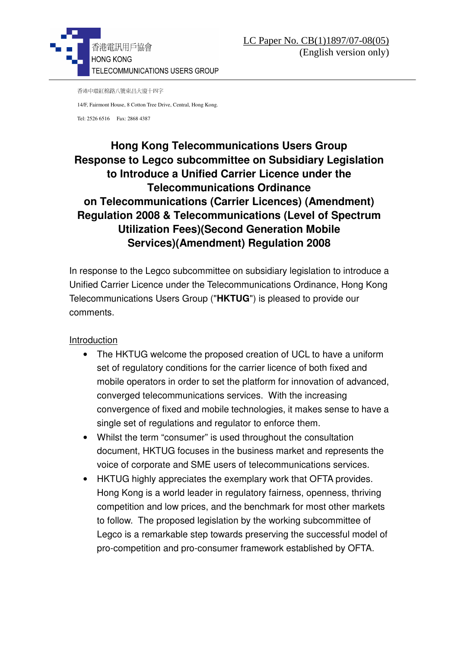

香港中環紅棉路八號東昌大廈十四字

14/F, Fairmont House, 8 Cotton Tree Drive, Central, Hong Kong.

Tel: 2526 6516 Fax: 2868 4387

## **Hong Kong Telecommunications Users Group Response to Legco subcommittee on Subsidiary Legislation to Introduce a Unified Carrier Licence under the Telecommunications Ordinance on Telecommunications (Carrier Licences) (Amendment) Regulation 2008 & Telecommunications (Level of Spectrum Utilization Fees)(Second Generation Mobile Services)(Amendment) Regulation 2008**

In response to the Legco subcommittee on subsidiary legislation to introduce a Unified Carrier Licence under the Telecommunications Ordinance, Hong Kong Telecommunications Users Group ("**HKTUG**") is pleased to provide our comments.

## Introduction

- The HKTUG welcome the proposed creation of UCL to have a uniform set of regulatory conditions for the carrier licence of both fixed and mobile operators in order to set the platform for innovation of advanced, converged telecommunications services. With the increasing convergence of fixed and mobile technologies, it makes sense to have a single set of regulations and regulator to enforce them.
- Whilst the term "consumer" is used throughout the consultation document, HKTUG focuses in the business market and represents the voice of corporate and SME users of telecommunications services.
- HKTUG highly appreciates the exemplary work that OFTA provides. Hong Kong is a world leader in regulatory fairness, openness, thriving competition and low prices, and the benchmark for most other markets to follow. The proposed legislation by the working subcommittee of Legco is a remarkable step towards preserving the successful model of pro-competition and pro-consumer framework established by OFTA.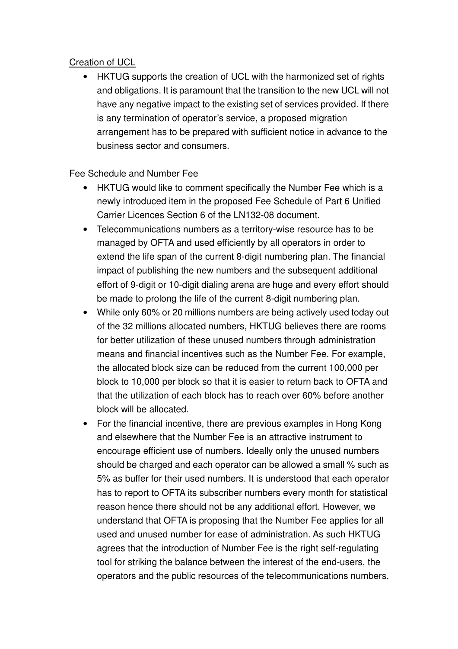## Creation of UCL

• HKTUG supports the creation of UCL with the harmonized set of rights and obligations. It is paramount that the transition to the new UCL will not have any negative impact to the existing set of services provided. If there is any termination of operator's service, a proposed migration arrangement has to be prepared with sufficient notice in advance to the business sector and consumers.

## Fee Schedule and Number Fee

- HKTUG would like to comment specifically the Number Fee which is a newly introduced item in the proposed Fee Schedule of Part 6 Unified Carrier Licences Section 6 of the LN132-08 document.
- Telecommunications numbers as a territory-wise resource has to be managed by OFTA and used efficiently by all operators in order to extend the life span of the current 8-digit numbering plan. The financial impact of publishing the new numbers and the subsequent additional effort of 9-digit or 10-digit dialing arena are huge and every effort should be made to prolong the life of the current 8-digit numbering plan.
- While only 60% or 20 millions numbers are being actively used today out of the 32 millions allocated numbers, HKTUG believes there are rooms for better utilization of these unused numbers through administration means and financial incentives such as the Number Fee. For example, the allocated block size can be reduced from the current 100,000 per block to 10,000 per block so that it is easier to return back to OFTA and that the utilization of each block has to reach over 60% before another block will be allocated.
- For the financial incentive, there are previous examples in Hong Kong and elsewhere that the Number Fee is an attractive instrument to encourage efficient use of numbers. Ideally only the unused numbers should be charged and each operator can be allowed a small % such as 5% as buffer for their used numbers. It is understood that each operator has to report to OFTA its subscriber numbers every month for statistical reason hence there should not be any additional effort. However, we understand that OFTA is proposing that the Number Fee applies for all used and unused number for ease of administration. As such HKTUG agrees that the introduction of Number Fee is the right self-regulating tool for striking the balance between the interest of the end-users, the operators and the public resources of the telecommunications numbers.